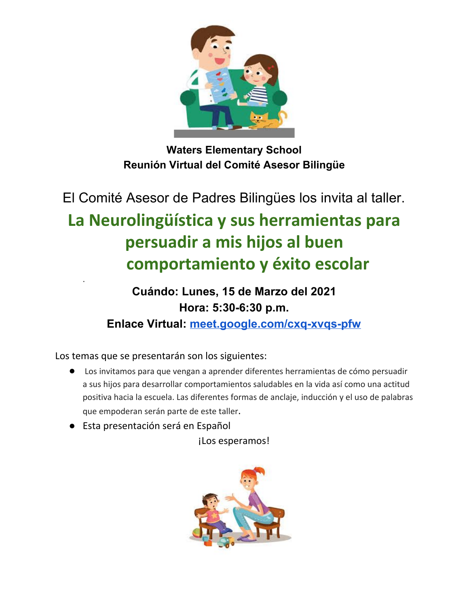

**Waters Elementary School Reunión Virtual del Comité Asesor Bilingüe**

El Comité Asesor de Padres Bilingües los invita al taller.

## **La Neurolingüística y sus herramientas para persuadir a mis hijos al buen comportamiento y éxito escolar**

### **Cuándo: Lunes, 15 de Marzo del 2021 Hora: 5:30-6:30 p.m.**

**Enlace Virtual: [meet.google.com/cxq-xvqs-pfw](http://meet.google.com/cxq-xvqs-pfw)**

Los temas que se presentarán son los siguientes:

.

- Los invitamos para que vengan a aprender diferentes herramientas de cómo persuadir a sus hijos para desarrollar comportamientos saludables en la vida así como una actitud positiva hacia la escuela. Las diferentes formas de anclaje, inducción y el uso de palabras que empoderan serán parte de este taller.
- Esta presentación será en Español

¡Los esperamos!